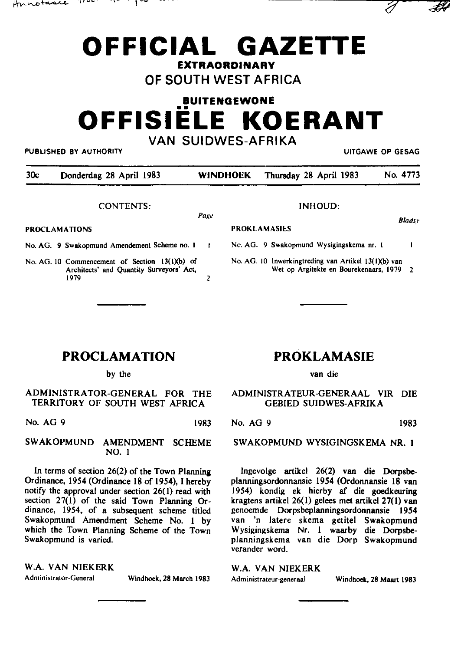# functuale *inc.* it is presented to the second the second of  $\partial$



# **OF SOUTH WEST AFRICA**

# **BUITENGEWONE**  •• **OFFISIELE KOERANT VAN SUIDWES-AFRIKA**

PUBLISHED BY AUTHORITY **EXAMPLE ASSAULTS AND A SECOND THE CONTRACT OF CONTRACT CONTRACT OF GESAG** 

| 30c | Donderdag 28 April 1983 | <b>WINDHOEK</b> | Thursday 28 April 1983 | No. 4773 |
|-----|-------------------------|-----------------|------------------------|----------|

PROKLAMASIES

CONTENTS:

**Pagt!** 

PROCLAMATIONS

- No. AG. 9 Swakopmund Amendement Scheme no. I
- No. AG. 10 Commencement of Section 13(1)(b) of **Architects' and Quantity Surveyors' Act,**  1979 2

| INHOUD: |  |
|---------|--|
|---------|--|

*8/ads.\'* 

 $#$ 

Nc. AG. 9 Swakopmund Wysigingskema nr. I

No. AG. 10 Inwerkingtreding van Artikel 13(1)(b) van **Wet op Argitekte en Bourekenaars, 1979 2** 

# **PROCLAMATION**

by the

#### ADMINISTRATOR-GENERAL FOR THE TERRITORY OF SOUTH WEST AFRICA

No. AG 9 1983

#### SWAKOPMUND AMENDMENT SCHEME NO. I

In terms of section 26(2) of the Town Planning Ordinance, 1954 (Ordinance 18 of 1954), I hereby notify the approval under section 26( I) read with section  $27(1)$  of the said Town Planning Ordinance, 1954, of a subsequent scheme titled Swakopmund Amendment Scheme No. I by which the Town Planning Scheme of the Town Swakopmund is varied.

W.A. VAN NIEKERK **Administrator-General** Windhoek, 28 March 1983

# **PROKLAMASIE**

van die

#### ADMINISTRATEUR-GENERAAL VIR DIE GEBIED SUIDWES-AFRIKA

No. AG 9 1983

SW AKOPMUND WYSIGINGSKEMA NR. I

lngevolge artikel 26(2) van die Dorpsbeplanningsordonnansie 1954 (Ordonnansie 18 van 1954) kondig ek hierby af die goedkeuring kragtens artikel 26(1) gelees met artikel 27(1) van genoemde Dorpsbeplanningsordonnansie 1954 van 'n latere skema getitel Swakopmund Wysigingskema Nr. I waarby die Dorpsbeplanningskema van die Dorp Swakopmund verander word.

#### W.A. VAN NIEKERK

**Administrateur-generaal** Windhoek, 28 Maart 1983

 $\mathbf{I}$